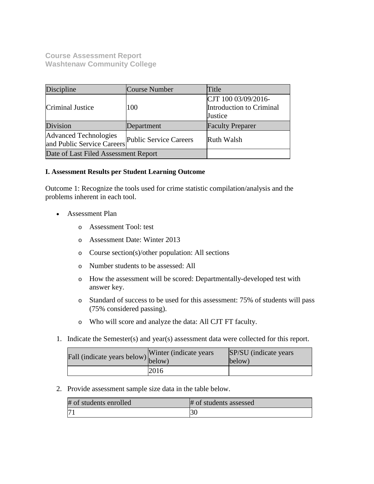**Course Assessment Report Washtenaw Community College**

| Discipline                                                 | Course Number          | Title                                                      |
|------------------------------------------------------------|------------------------|------------------------------------------------------------|
| Criminal Justice                                           | 100                    | CJT 100 03/09/2016-<br>Introduction to Criminal<br>Justice |
| Division                                                   | Department             | <b>Faculty Preparer</b>                                    |
| <b>Advanced Technologies</b><br>and Public Service Careers | Public Service Careers | Ruth Walsh                                                 |
| Date of Last Filed Assessment Report                       |                        |                                                            |

## **I. Assessment Results per Student Learning Outcome**

Outcome 1: Recognize the tools used for crime statistic compilation/analysis and the problems inherent in each tool.

- Assessment Plan
	- o Assessment Tool: test
	- o Assessment Date: Winter 2013
	- o Course section(s)/other population: All sections
	- o Number students to be assessed: All
	- o How the assessment will be scored: Departmentally-developed test with answer key.
	- o Standard of success to be used for this assessment: 75% of students will pass (75% considered passing).
	- o Who will score and analyze the data: All CJT FT faculty.
- 1. Indicate the Semester(s) and year(s) assessment data were collected for this report.

| Fall (indicate years below) below) | Winter (indicate years) | SP/SU (indicate years)<br>below) |
|------------------------------------|-------------------------|----------------------------------|
|                                    | 2016                    |                                  |

2. Provide assessment sample size data in the table below.

| # of students enrolled | # of students assessed |
|------------------------|------------------------|
|                        |                        |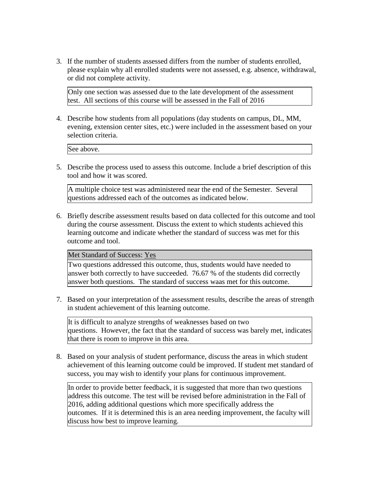3. If the number of students assessed differs from the number of students enrolled, please explain why all enrolled students were not assessed, e.g. absence, withdrawal, or did not complete activity.

Only one section was assessed due to the late development of the assessment test. All sections of this course will be assessed in the Fall of 2016

4. Describe how students from all populations (day students on campus, DL, MM, evening, extension center sites, etc.) were included in the assessment based on your selection criteria.

See above.

5. Describe the process used to assess this outcome. Include a brief description of this tool and how it was scored.

A multiple choice test was administered near the end of the Semester. Several questions addressed each of the outcomes as indicated below.

6. Briefly describe assessment results based on data collected for this outcome and tool during the course assessment. Discuss the extent to which students achieved this learning outcome and indicate whether the standard of success was met for this outcome and tool.

Met Standard of Success: Yes

Two questions addressed this outcome, thus, students would have needed to answer both correctly to have succeeded. 76.67 % of the students did correctly answer both questions. The standard of success waas met for this outcome.

7. Based on your interpretation of the assessment results, describe the areas of strength in student achievement of this learning outcome.

It is difficult to analyze strengths of weaknesses based on two questions. However, the fact that the standard of success was barely met, indicates that there is room to improve in this area.

8. Based on your analysis of student performance, discuss the areas in which student achievement of this learning outcome could be improved. If student met standard of success, you may wish to identify your plans for continuous improvement.

In order to provide better feedback, it is suggested that more than two questions address this outcome. The test will be revised before administration in the Fall of 2016, adding additional questions which more specifically address the outcomes. If it is determined this is an area needing improvement, the faculty will discuss how best to improve learning.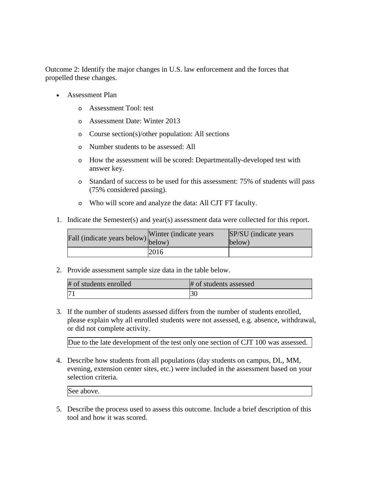Outcome 2: Identify the major changes in U.S. law enforcement and the forces that propelled these changes.

- Assessment Plan
	- o Assessment Tool: test
	- o Assessment Date: Winter 2013
	- o Course section(s)/other population: All sections
	- o Number students to be assessed: All
	- o How the assessment will be scored: Departmentally-developed test with answer key.
	- o Standard of success to be used for this assessment: 75% of students will pass (75% considered passing).
	- o Who will score and analyze the data: All CJT FT faculty.
- 1. Indicate the Semester(s) and year(s) assessment data were collected for this report.

| Fall (indicate years below) below) | Winter (indicate years) | SP/SU (indicate years)<br>below) |
|------------------------------------|-------------------------|----------------------------------|
|                                    | 2016                    |                                  |

2. Provide assessment sample size data in the table below.

| # of students enrolled | # of students assessed |
|------------------------|------------------------|
| 17 <sup>1</sup>        |                        |

3. If the number of students assessed differs from the number of students enrolled, please explain why all enrolled students were not assessed, e.g. absence, withdrawal, or did not complete activity.

Due to the late development of the test only one section of CJT 100 was assessed.

4. Describe how students from all populations (day students on campus, DL, MM, evening, extension center sites, etc.) were included in the assessment based on your selection criteria.

5. Describe the process used to assess this outcome. Include a brief description of this tool and how it was scored.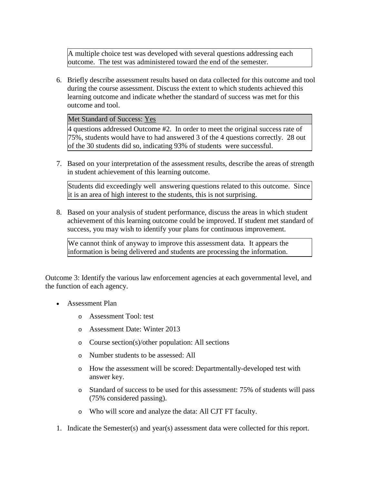A multiple choice test was developed with several questions addressing each outcome. The test was administered toward the end of the semester.

6. Briefly describe assessment results based on data collected for this outcome and tool during the course assessment. Discuss the extent to which students achieved this learning outcome and indicate whether the standard of success was met for this outcome and tool.

Met Standard of Success: Yes

4 questions addressed Outcome #2. In order to meet the original success rate of 75%, students would have to had answered 3 of the 4 questions correctly. 28 out of the 30 students did so, indicating 93% of students were successful.

7. Based on your interpretation of the assessment results, describe the areas of strength in student achievement of this learning outcome.

Students did exceedingly well answering questions related to this outcome. Since it is an area of high interest to the students, this is not surprising.

8. Based on your analysis of student performance, discuss the areas in which student achievement of this learning outcome could be improved. If student met standard of success, you may wish to identify your plans for continuous improvement.

We cannot think of anyway to improve this assessment data. It appears the information is being delivered and students are processing the information.

Outcome 3: Identify the various law enforcement agencies at each governmental level, and the function of each agency.

- Assessment Plan
	- o Assessment Tool: test
	- o Assessment Date: Winter 2013
	- o Course section(s)/other population: All sections
	- o Number students to be assessed: All
	- o How the assessment will be scored: Departmentally-developed test with answer key.
	- o Standard of success to be used for this assessment: 75% of students will pass (75% considered passing).
	- o Who will score and analyze the data: All CJT FT faculty.
- 1. Indicate the Semester(s) and year(s) assessment data were collected for this report.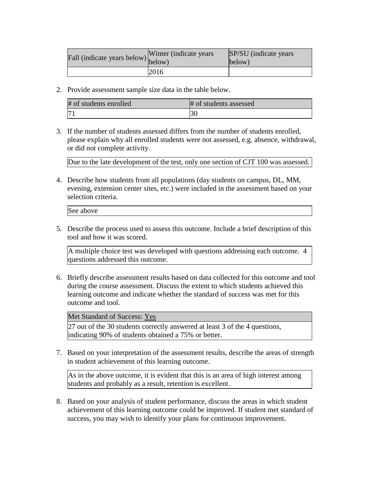| Fall (indicate years below) below) | Winter (indicate years) | SP/SU (indicate years)<br>below) |
|------------------------------------|-------------------------|----------------------------------|
|                                    | 2016                    |                                  |

2. Provide assessment sample size data in the table below.

| # of students enrolled | # of students assessed |
|------------------------|------------------------|
| 17                     | ЭU                     |

3. If the number of students assessed differs from the number of students enrolled, please explain why all enrolled students were not assessed, e.g. absence, withdrawal, or did not complete activity.

Due to the late development of the test, only one section of CJT 100 was assessed.

4. Describe how students from all populations (day students on campus, DL, MM, evening, extension center sites, etc.) were included in the assessment based on your selection criteria.

See above

5. Describe the process used to assess this outcome. Include a brief description of this tool and how it was scored.

A multiple choice test was developed with questions addressing each outcome. 4 questions addressed this outcome.

6. Briefly describe assessment results based on data collected for this outcome and tool during the course assessment. Discuss the extent to which students achieved this learning outcome and indicate whether the standard of success was met for this outcome and tool.

Met Standard of Success: Yes

27 out of the 30 students correctly answered at least 3 of the 4 questions, indicating 90% of students obtained a 75% or better.

7. Based on your interpretation of the assessment results, describe the areas of strength in student achievement of this learning outcome.

As in the above outcome, it is evident that this is an area of high interest among students and probably as a result, retention is excellent.

8. Based on your analysis of student performance, discuss the areas in which student achievement of this learning outcome could be improved. If student met standard of success, you may wish to identify your plans for continuous improvement.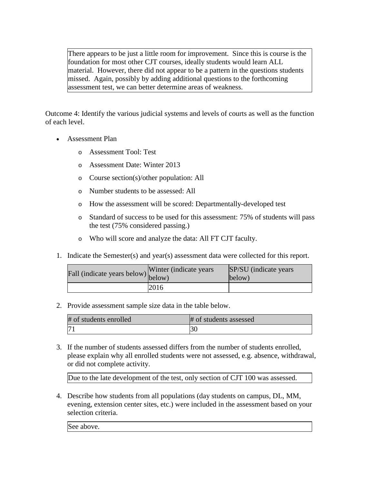There appears to be just a little room for improvement. Since this is course is the foundation for most other CJT courses, ideally students would learn ALL material. However, there did not appear to be a pattern in the questions students missed. Again, possibly by adding additional questions to the forthcoming assessment test, we can better determine areas of weakness.

Outcome 4: Identify the various judicial systems and levels of courts as well as the function of each level.

- Assessment Plan
	- o Assessment Tool: Test
	- o Assessment Date: Winter 2013
	- o Course section(s)/other population: All
	- o Number students to be assessed: All
	- o How the assessment will be scored: Departmentally-developed test
	- o Standard of success to be used for this assessment: 75% of students will pass the test (75% considered passing.)
	- o Who will score and analyze the data: All FT CJT faculty.
- 1. Indicate the Semester(s) and year(s) assessment data were collected for this report.

| Fall (indicate years below) below) | Winter (indicate years) | SP/SU (indicate years)<br>below) |
|------------------------------------|-------------------------|----------------------------------|
|                                    | 2016                    |                                  |

2. Provide assessment sample size data in the table below.

| # of students enrolled | # of students assessed |
|------------------------|------------------------|
|                        |                        |

3. If the number of students assessed differs from the number of students enrolled, please explain why all enrolled students were not assessed, e.g. absence, withdrawal, or did not complete activity.

Due to the late development of the test, only section of CJT 100 was assessed.

4. Describe how students from all populations (day students on campus, DL, MM, evening, extension center sites, etc.) were included in the assessment based on your selection criteria.

See above.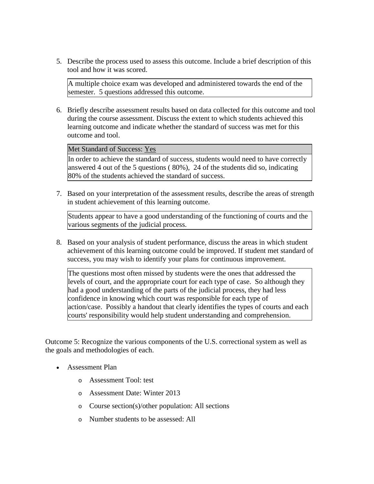5. Describe the process used to assess this outcome. Include a brief description of this tool and how it was scored.

A multiple choice exam was developed and administered towards the end of the semester. 5 questions addressed this outcome.

6. Briefly describe assessment results based on data collected for this outcome and tool during the course assessment. Discuss the extent to which students achieved this learning outcome and indicate whether the standard of success was met for this outcome and tool.

Met Standard of Success: Yes

In order to achieve the standard of success, students would need to have correctly answered 4 out of the 5 questions ( 80%), 24 of the students did so, indicating 80% of the students achieved the standard of success.

7. Based on your interpretation of the assessment results, describe the areas of strength in student achievement of this learning outcome.

Students appear to have a good understanding of the functioning of courts and the various segments of the judicial process.

8. Based on your analysis of student performance, discuss the areas in which student achievement of this learning outcome could be improved. If student met standard of success, you may wish to identify your plans for continuous improvement.

The questions most often missed by students were the ones that addressed the levels of court, and the appropriate court for each type of case. So although they had a good understanding of the parts of the judicial process, they had less confidence in knowing which court was responsible for each type of action/case. Possibly a handout that clearly identifies the types of courts and each courts' responsibility would help student understanding and comprehension.

Outcome 5: Recognize the various components of the U.S. correctional system as well as the goals and methodologies of each.

- Assessment Plan
	- o Assessment Tool: test
	- o Assessment Date: Winter 2013
	- o Course section(s)/other population: All sections
	- o Number students to be assessed: All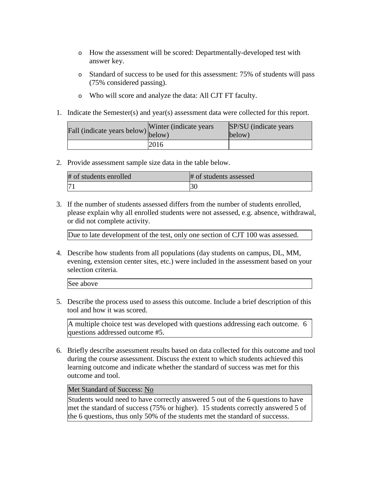- o How the assessment will be scored: Departmentally-developed test with answer key.
- o Standard of success to be used for this assessment: 75% of students will pass (75% considered passing).
- o Who will score and analyze the data: All CJT FT faculty.
- 1. Indicate the Semester(s) and year(s) assessment data were collected for this report.

| Fall (indicate years below) below) | Winter (indicate years) | SP/SU (indicate years)<br>below) |
|------------------------------------|-------------------------|----------------------------------|
|                                    | 2016                    |                                  |

2. Provide assessment sample size data in the table below.

| # of students enrolled | # of students assessed |
|------------------------|------------------------|
|                        |                        |

3. If the number of students assessed differs from the number of students enrolled, please explain why all enrolled students were not assessed, e.g. absence, withdrawal, or did not complete activity.

Due to late development of the test, only one section of CJT 100 was assessed.

4. Describe how students from all populations (day students on campus, DL, MM, evening, extension center sites, etc.) were included in the assessment based on your selection criteria.

| See above |  |  |  |  |  |
|-----------|--|--|--|--|--|
|-----------|--|--|--|--|--|

5. Describe the process used to assess this outcome. Include a brief description of this tool and how it was scored.

A multiple choice test was developed with questions addressing each outcome. 6 questions addressed outcome #5.

6. Briefly describe assessment results based on data collected for this outcome and tool during the course assessment. Discuss the extent to which students achieved this learning outcome and indicate whether the standard of success was met for this outcome and tool.

## Met Standard of Success: No

Students would need to have correctly answered 5 out of the 6 questions to have met the standard of success (75% or higher). 15 students correctly answered 5 of the 6 questions, thus only 50% of the students met the standard of successs.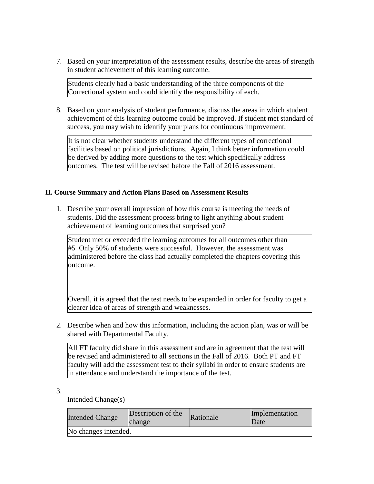7. Based on your interpretation of the assessment results, describe the areas of strength in student achievement of this learning outcome.

Students clearly had a basic understanding of the three components of the Correctional system and could identify the responsibility of each.

8. Based on your analysis of student performance, discuss the areas in which student achievement of this learning outcome could be improved. If student met standard of success, you may wish to identify your plans for continuous improvement.

It is not clear whether students understand the different types of correctional facilities based on political jurisdictions. Again, I think better information could be derived by adding more questions to the test which specifically address outcomes. The test will be revised before the Fall of 2016 assessment.

## **II. Course Summary and Action Plans Based on Assessment Results**

1. Describe your overall impression of how this course is meeting the needs of students. Did the assessment process bring to light anything about student achievement of learning outcomes that surprised you?

Student met or exceeded the learning outcomes for all outcomes other than #5 Only 50% of students were successful. However, the assessment was administered before the class had actually completed the chapters covering this outcome.

Overall, it is agreed that the test needs to be expanded in order for faculty to get a clearer idea of areas of strength and weaknesses.

2. Describe when and how this information, including the action plan, was or will be shared with Departmental Faculty.

All FT faculty did share in this assessment and are in agreement that the test will be revised and administered to all sections in the Fall of 2016. Both PT and FT faculty will add the assessment test to their syllabi in order to ensure students are in attendance and understand the importance of the test.

3.

Intended Change(s)

| <b>Intended Change</b> | Description of the<br>change | Rationale | Implementation<br>Date |  |  |  |  |
|------------------------|------------------------------|-----------|------------------------|--|--|--|--|
| No changes intended.   |                              |           |                        |  |  |  |  |